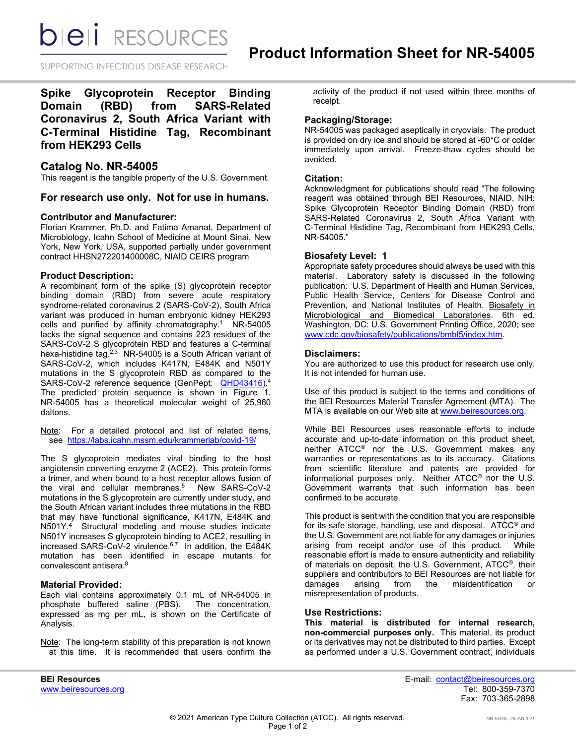**bieli** RESOURCES

SUPPORTING INFECTIOUS DISEASE RESEARCH

**Spike Glycoprotein Receptor Binding Domain (RBD) from SARS-Related Coronavirus 2, South Africa Variant with C-Terminal Histidine Tag, Recombinant from HEK293 Cells**

# **Catalog No. NR-54005**

This reagent is the tangible property of the U.S. Government.

**For research use only. Not for use in humans.** 

### **Contributor and Manufacturer:**

Florian Krammer, Ph.D. and Fatima Amanat, Department of Microbiology, Icahn School of Medicine at Mount Sinai, New York, New York, USA, supported partially under government contract HHSN272201400008C, NIAID CEIRS program

### **Product Description:**

A recombinant form of the spike (S) glycoprotein receptor binding domain (RBD) from severe acute respiratory syndrome-related coronavirus 2 (SARS-CoV-2), South Africa variant was produced in human embryonic kidney HEK293 cells and purified by affinity chromatography.<sup>1</sup> NR-54005 lacks the signal sequence and contains 223 residues of the SARS-CoV-2 S glycoprotein RBD and features a C-terminal hexa-histidine tag. $2,3$  NR-54005 is a South African variant of SARS-CoV-2, which includes K417N, E484K and N501Y mutations in the S glycoprotein RBD as compared to the SARS-CoV-2 reference sequence (GenPept: [QHD43416\)](https://www.ncbi.nlm.nih.gov/protein/QHD43416).<sup>4</sup> The predicted protein sequence is shown in Figure 1. NR-54005 has a theoretical molecular weight of 25,960 daltons.

Note: For a detailed protocol and list of related items, see [https://labs.icahn.mssm.edu/krammerlab/covid-19/](https://urldefense.proofpoint.com/v2/url?u=https-3A__labs.icahn.mssm.edu_krammerlab_covid-2D19_&d=DwMGaQ&c=dcFnI-8Ri3NVXdqjME8ydA&r=eA3zTJxwXCmlnZgIbqMroY0lnEHoS938ZSXCfWXjknU&m=7thlCJsuJKRfS35CaryT9_VtJiIy3dY5SkMJM_oXZmg&s=wKvseV8pQG7eHq_VY5BAfNELC023EXKmAGwNxyckM8k&e=)

The S glycoprotein mediates viral binding to the host angiotensin converting enzyme 2 (ACE2). This protein forms a trimer, and when bound to a host receptor allows fusion of the viral and cellular membranes.<sup>5</sup> New SARS-CoV-2 mutations in the S glycoprotein are currently under study, and the South African variant includes three mutations in the RBD that may have functional significance, K417N, E484K and N501Y. 4 Structural modeling and mouse studies indicate N501Y increases S glycoprotein binding to ACE2, resulting in increased SARS-CoV-2 virulence.<sup>6,7</sup> In addition, the E484K mutation has been identified in escape mutants for convalescent antisera.8

### **Material Provided:**

Each vial contains approximately 0.1 mL of NR-54005 in phosphate buffered saline (PBS). The concentration, expressed as mg per mL, is shown on the Certificate of Analysis.

Note: The long-term stability of this preparation is not known at this time. It is recommended that users confirm the

activity of the product if not used within three months of receipt.

### **Packaging/Storage:**

NR-54005 was packaged aseptically in cryovials. The product is provided on dry ice and should be stored at -60°C or colder immediately upon arrival. Freeze-thaw cycles should be avoided.

### **Citation:**

Acknowledgment for publications should read "The following reagent was obtained through BEI Resources, NIAID, NIH: Spike Glycoprotein Receptor Binding Domain (RBD) from SARS-Related Coronavirus 2, South Africa Variant with C-Terminal Histidine Tag, Recombinant from HEK293 Cells, NR-54005."

# **Biosafety Level: 1**

Appropriate safety procedures should always be used with this material. Laboratory safety is discussed in the following publication: U.S. Department of Health and Human Services, Public Health Service, Centers for Disease Control and Prevention, and National Institutes of Health. Biosafety in Microbiological and Biomedical Laboratories. 6th ed. Washington, DC: U.S. Government Printing Office, 2020; see [www.cdc.gov/biosafety/publications/bmbl5/index.htm.](http://www.cdc.gov/biosafety/publications/bmbl5/index.htm)

# **Disclaimers:**

You are authorized to use this product for research use only. It is not intended for human use.

Use of this product is subject to the terms and conditions of the BEI Resources Material Transfer Agreement (MTA). The MTA is available on our Web site at [www.beiresources.org.](http://www.beiresources.org/)

While BEI Resources uses reasonable efforts to include accurate and up-to-date information on this product sheet, neither ATCC® nor the U.S. Government makes any warranties or representations as to its accuracy. Citations from scientific literature and patents are provided for informational purposes only. Neither ATCC® nor the U.S. Government warrants that such information has been confirmed to be accurate.

This product is sent with the condition that you are responsible for its safe storage, handling, use and disposal. ATCC® and the U.S. Government are not liable for any damages or injuries arising from receipt and/or use of this product. While reasonable effort is made to ensure authenticity and reliability of materials on deposit, the U.S. Government, ATCC®, their suppliers and contributors to BEI Resources are not liable for<br>damages arising from the misidentification or arising from the misidentification or misrepresentation of products.

### **Use Restrictions:**

**This material is distributed for internal research, non-commercial purposes only.** This material, its product or its derivatives may not be distributed to third parties. Except as performed under a U.S. Government contract, individuals

**BEI Resources** E-mail: contact@beiresources.org Fax: 703-365-2898